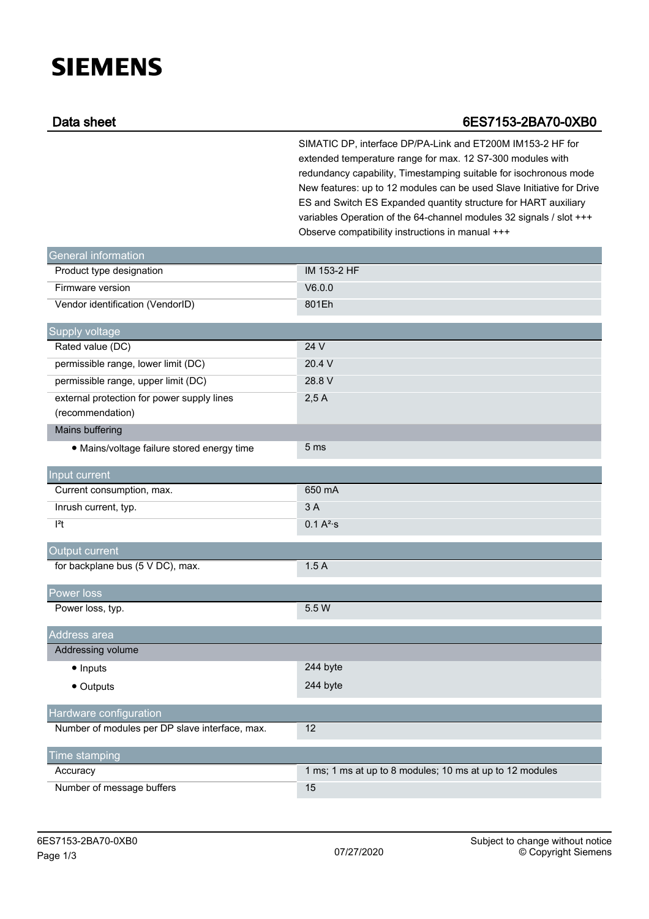## **SIEMENS**

## Data sheet 6ES7153-2BA70-0XB0

SIMATIC DP, interface DP/PA-Link and ET200M IM153-2 HF for extended temperature range for max. 12 S7-300 modules with redundancy capability, Timestamping suitable for isochronous mode New features: up to 12 modules can be used Slave Initiative for Drive ES and Switch ES Expanded quantity structure for HART auxiliary variables Operation of the 64-channel modules 32 signals / slot +++ Observe compatibility instructions in manual +++

| <b>General information</b>                                     |                                                          |
|----------------------------------------------------------------|----------------------------------------------------------|
| Product type designation                                       | IM 153-2 HF                                              |
| Firmware version                                               | V6.0.0                                                   |
| Vendor identification (VendorID)                               | 801Eh                                                    |
| Supply voltage                                                 |                                                          |
| Rated value (DC)                                               | 24 V                                                     |
| permissible range, lower limit (DC)                            | 20.4 V                                                   |
| permissible range, upper limit (DC)                            | 28.8 V                                                   |
| external protection for power supply lines<br>(recommendation) | 2,5A                                                     |
| Mains buffering                                                |                                                          |
| • Mains/voltage failure stored energy time                     | 5 <sub>ms</sub>                                          |
| Input current                                                  |                                                          |
| Current consumption, max.                                      | 650 mA                                                   |
| Inrush current, typ.                                           | 3A                                                       |
| $ ^{2}t$                                                       | $0.1 A^{2}$ s                                            |
| Output current                                                 |                                                          |
| for backplane bus (5 V DC), max.                               | 1.5A                                                     |
| Power loss                                                     |                                                          |
| Power loss, typ.                                               | 5.5 W                                                    |
| Address area                                                   |                                                          |
| Addressing volume                                              |                                                          |
| $\bullet$ Inputs                                               | 244 byte                                                 |
| • Outputs                                                      | 244 byte                                                 |
| Hardware configuration                                         |                                                          |
| Number of modules per DP slave interface, max.                 | 12                                                       |
| <b>Time stamping</b>                                           |                                                          |
| Accuracy                                                       | 1 ms; 1 ms at up to 8 modules; 10 ms at up to 12 modules |
| Number of message buffers                                      | 15                                                       |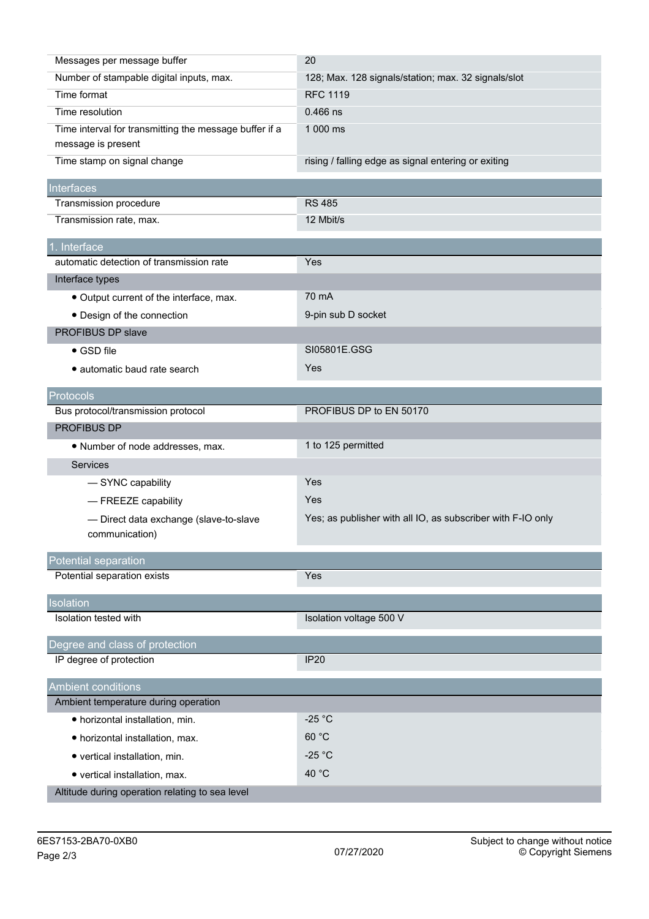| Number of stampable digital inputs, max.<br>128; Max. 128 signals/station; max. 32 signals/slot<br>Time format<br><b>RFC 1119</b><br>Time resolution<br>$0.466$ ns<br>Time interval for transmitting the message buffer if a<br>1 000 ms<br>message is present<br>Time stamp on signal change<br>rising / falling edge as signal entering or exiting<br>Interfaces<br>Transmission procedure<br><b>RS 485</b><br>Transmission rate, max.<br>12 Mbit/s<br>1. Interface<br>automatic detection of transmission rate<br>Yes<br>Interface types<br>70 mA<br>• Output current of the interface, max.<br>9-pin sub D socket<br>• Design of the connection<br>PROFIBUS DP slave<br>SI05801E.GSG<br>$\bullet$ GSD file<br><b>Yes</b><br>• automatic baud rate search<br>Protocols<br>Bus protocol/transmission protocol<br>PROFIBUS DP to EN 50170<br>PROFIBUS DP<br>1 to 125 permitted<br>• Number of node addresses, max.<br>Services<br>Yes<br>- SYNC capability | Messages per message buffer | 20 |
|-------------------------------------------------------------------------------------------------------------------------------------------------------------------------------------------------------------------------------------------------------------------------------------------------------------------------------------------------------------------------------------------------------------------------------------------------------------------------------------------------------------------------------------------------------------------------------------------------------------------------------------------------------------------------------------------------------------------------------------------------------------------------------------------------------------------------------------------------------------------------------------------------------------------------------------------------------------|-----------------------------|----|
|                                                                                                                                                                                                                                                                                                                                                                                                                                                                                                                                                                                                                                                                                                                                                                                                                                                                                                                                                             |                             |    |
|                                                                                                                                                                                                                                                                                                                                                                                                                                                                                                                                                                                                                                                                                                                                                                                                                                                                                                                                                             |                             |    |
|                                                                                                                                                                                                                                                                                                                                                                                                                                                                                                                                                                                                                                                                                                                                                                                                                                                                                                                                                             |                             |    |
|                                                                                                                                                                                                                                                                                                                                                                                                                                                                                                                                                                                                                                                                                                                                                                                                                                                                                                                                                             |                             |    |
|                                                                                                                                                                                                                                                                                                                                                                                                                                                                                                                                                                                                                                                                                                                                                                                                                                                                                                                                                             |                             |    |
|                                                                                                                                                                                                                                                                                                                                                                                                                                                                                                                                                                                                                                                                                                                                                                                                                                                                                                                                                             |                             |    |
|                                                                                                                                                                                                                                                                                                                                                                                                                                                                                                                                                                                                                                                                                                                                                                                                                                                                                                                                                             |                             |    |
|                                                                                                                                                                                                                                                                                                                                                                                                                                                                                                                                                                                                                                                                                                                                                                                                                                                                                                                                                             |                             |    |
|                                                                                                                                                                                                                                                                                                                                                                                                                                                                                                                                                                                                                                                                                                                                                                                                                                                                                                                                                             |                             |    |
|                                                                                                                                                                                                                                                                                                                                                                                                                                                                                                                                                                                                                                                                                                                                                                                                                                                                                                                                                             |                             |    |
|                                                                                                                                                                                                                                                                                                                                                                                                                                                                                                                                                                                                                                                                                                                                                                                                                                                                                                                                                             |                             |    |
|                                                                                                                                                                                                                                                                                                                                                                                                                                                                                                                                                                                                                                                                                                                                                                                                                                                                                                                                                             |                             |    |
|                                                                                                                                                                                                                                                                                                                                                                                                                                                                                                                                                                                                                                                                                                                                                                                                                                                                                                                                                             |                             |    |
|                                                                                                                                                                                                                                                                                                                                                                                                                                                                                                                                                                                                                                                                                                                                                                                                                                                                                                                                                             |                             |    |
|                                                                                                                                                                                                                                                                                                                                                                                                                                                                                                                                                                                                                                                                                                                                                                                                                                                                                                                                                             |                             |    |
|                                                                                                                                                                                                                                                                                                                                                                                                                                                                                                                                                                                                                                                                                                                                                                                                                                                                                                                                                             |                             |    |
|                                                                                                                                                                                                                                                                                                                                                                                                                                                                                                                                                                                                                                                                                                                                                                                                                                                                                                                                                             |                             |    |
|                                                                                                                                                                                                                                                                                                                                                                                                                                                                                                                                                                                                                                                                                                                                                                                                                                                                                                                                                             |                             |    |
|                                                                                                                                                                                                                                                                                                                                                                                                                                                                                                                                                                                                                                                                                                                                                                                                                                                                                                                                                             |                             |    |
|                                                                                                                                                                                                                                                                                                                                                                                                                                                                                                                                                                                                                                                                                                                                                                                                                                                                                                                                                             |                             |    |
|                                                                                                                                                                                                                                                                                                                                                                                                                                                                                                                                                                                                                                                                                                                                                                                                                                                                                                                                                             |                             |    |
|                                                                                                                                                                                                                                                                                                                                                                                                                                                                                                                                                                                                                                                                                                                                                                                                                                                                                                                                                             |                             |    |
|                                                                                                                                                                                                                                                                                                                                                                                                                                                                                                                                                                                                                                                                                                                                                                                                                                                                                                                                                             |                             |    |
|                                                                                                                                                                                                                                                                                                                                                                                                                                                                                                                                                                                                                                                                                                                                                                                                                                                                                                                                                             |                             |    |
| Yes<br>- FREEZE capability                                                                                                                                                                                                                                                                                                                                                                                                                                                                                                                                                                                                                                                                                                                                                                                                                                                                                                                                  |                             |    |
| Yes; as publisher with all IO, as subscriber with F-IO only<br>- Direct data exchange (slave-to-slave                                                                                                                                                                                                                                                                                                                                                                                                                                                                                                                                                                                                                                                                                                                                                                                                                                                       |                             |    |
| communication)                                                                                                                                                                                                                                                                                                                                                                                                                                                                                                                                                                                                                                                                                                                                                                                                                                                                                                                                              |                             |    |
| Potential separation                                                                                                                                                                                                                                                                                                                                                                                                                                                                                                                                                                                                                                                                                                                                                                                                                                                                                                                                        |                             |    |
| Potential separation exists<br>Yes                                                                                                                                                                                                                                                                                                                                                                                                                                                                                                                                                                                                                                                                                                                                                                                                                                                                                                                          |                             |    |
| Isolation                                                                                                                                                                                                                                                                                                                                                                                                                                                                                                                                                                                                                                                                                                                                                                                                                                                                                                                                                   |                             |    |
| Isolation tested with<br>Isolation voltage 500 V                                                                                                                                                                                                                                                                                                                                                                                                                                                                                                                                                                                                                                                                                                                                                                                                                                                                                                            |                             |    |
| Degree and class of protection                                                                                                                                                                                                                                                                                                                                                                                                                                                                                                                                                                                                                                                                                                                                                                                                                                                                                                                              |                             |    |
| IP degree of protection<br><b>IP20</b>                                                                                                                                                                                                                                                                                                                                                                                                                                                                                                                                                                                                                                                                                                                                                                                                                                                                                                                      |                             |    |
|                                                                                                                                                                                                                                                                                                                                                                                                                                                                                                                                                                                                                                                                                                                                                                                                                                                                                                                                                             |                             |    |
| <b>Ambient conditions</b>                                                                                                                                                                                                                                                                                                                                                                                                                                                                                                                                                                                                                                                                                                                                                                                                                                                                                                                                   |                             |    |
| Ambient temperature during operation                                                                                                                                                                                                                                                                                                                                                                                                                                                                                                                                                                                                                                                                                                                                                                                                                                                                                                                        |                             |    |
| $-25 °C$<br>· horizontal installation, min.                                                                                                                                                                                                                                                                                                                                                                                                                                                                                                                                                                                                                                                                                                                                                                                                                                                                                                                 |                             |    |
| 60 °C<br>· horizontal installation, max.                                                                                                                                                                                                                                                                                                                                                                                                                                                                                                                                                                                                                                                                                                                                                                                                                                                                                                                    |                             |    |
| $-25 °C$<br>• vertical installation, min.                                                                                                                                                                                                                                                                                                                                                                                                                                                                                                                                                                                                                                                                                                                                                                                                                                                                                                                   |                             |    |
| 40 °C<br>• vertical installation, max.                                                                                                                                                                                                                                                                                                                                                                                                                                                                                                                                                                                                                                                                                                                                                                                                                                                                                                                      |                             |    |
| Altitude during operation relating to sea level                                                                                                                                                                                                                                                                                                                                                                                                                                                                                                                                                                                                                                                                                                                                                                                                                                                                                                             |                             |    |